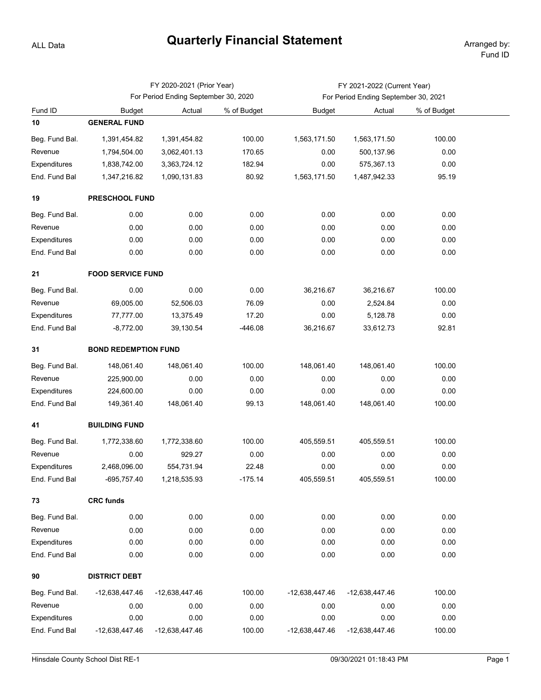## ALL Data

## **Quarterly Financial Statement** Arranged by:

|                |                                      | FY 2020-2021 (Prior Year) |             | FY 2021-2022 (Current Year)          |                |             |  |  |  |  |  |
|----------------|--------------------------------------|---------------------------|-------------|--------------------------------------|----------------|-------------|--|--|--|--|--|
|                | For Period Ending September 30, 2020 |                           |             | For Period Ending September 30, 2021 |                |             |  |  |  |  |  |
| Fund ID        | <b>Budget</b>                        | Actual                    | % of Budget | <b>Budget</b>                        | Actual         | % of Budget |  |  |  |  |  |
| 10             | <b>GENERAL FUND</b>                  |                           |             |                                      |                |             |  |  |  |  |  |
| Beg. Fund Bal. | 1,391,454.82                         | 1,391,454.82              | 100.00      | 1,563,171.50                         | 1,563,171.50   | 100.00      |  |  |  |  |  |
| Revenue        | 1,794,504.00                         | 3,062,401.13              | 170.65      | 0.00                                 | 500,137.96     | 0.00        |  |  |  |  |  |
| Expenditures   | 1,838,742.00                         | 3,363,724.12              | 182.94      | 0.00                                 | 575,367.13     | 0.00        |  |  |  |  |  |
| End. Fund Bal  | 1,347,216.82                         | 1,090,131.83              | 80.92       | 1,563,171.50                         | 1,487,942.33   | 95.19       |  |  |  |  |  |
| 19             | <b>PRESCHOOL FUND</b>                |                           |             |                                      |                |             |  |  |  |  |  |
| Beg. Fund Bal. | 0.00                                 | 0.00                      | 0.00        | 0.00                                 | 0.00           | 0.00        |  |  |  |  |  |
| Revenue        | 0.00                                 | 0.00                      | 0.00        | 0.00                                 | 0.00           | 0.00        |  |  |  |  |  |
| Expenditures   | 0.00                                 | 0.00                      | 0.00        | 0.00                                 | 0.00           | 0.00        |  |  |  |  |  |
| End. Fund Bal  | 0.00                                 | 0.00                      | 0.00        | 0.00                                 | 0.00           | 0.00        |  |  |  |  |  |
| 21             | <b>FOOD SERVICE FUND</b>             |                           |             |                                      |                |             |  |  |  |  |  |
| Beg. Fund Bal. | 0.00                                 | 0.00                      | 0.00        | 36,216.67                            | 36,216.67      | 100.00      |  |  |  |  |  |
| Revenue        | 69,005.00                            | 52,506.03                 | 76.09       | 0.00                                 | 2,524.84       | 0.00        |  |  |  |  |  |
| Expenditures   | 77,777.00                            | 13,375.49                 | 17.20       | 0.00                                 | 5,128.78       | 0.00        |  |  |  |  |  |
| End. Fund Bal  | $-8,772.00$                          | 39,130.54                 | $-446.08$   | 36,216.67                            | 33,612.73      | 92.81       |  |  |  |  |  |
| 31             | <b>BOND REDEMPTION FUND</b>          |                           |             |                                      |                |             |  |  |  |  |  |
| Beg. Fund Bal. | 148,061.40                           | 148,061.40                | 100.00      | 148,061.40                           | 148,061.40     | 100.00      |  |  |  |  |  |
| Revenue        | 225,900.00                           | 0.00                      | 0.00        | 0.00                                 | 0.00           | 0.00        |  |  |  |  |  |
| Expenditures   | 224,600.00                           | 0.00                      | 0.00        | 0.00                                 | 0.00           | 0.00        |  |  |  |  |  |
| End. Fund Bal  | 149,361.40                           | 148,061.40                | 99.13       | 148,061.40                           | 148,061.40     | 100.00      |  |  |  |  |  |
| 41             | <b>BUILDING FUND</b>                 |                           |             |                                      |                |             |  |  |  |  |  |
| Beg. Fund Bal. | 1,772,338.60                         | 1,772,338.60              | 100.00      | 405,559.51                           | 405,559.51     | 100.00      |  |  |  |  |  |
| Revenue        | 0.00                                 | 929.27                    | 0.00        | 0.00                                 | 0.00           | 0.00        |  |  |  |  |  |
| Expenditures   | 2,468,096.00                         | 554,731.94                | 22.48       | 0.00                                 | 0.00           | 0.00        |  |  |  |  |  |
| End. Fund Bal  | -695,757.40                          | 1,218,535.93              | $-175.14$   | 405,559.51                           | 405,559.51     | 100.00      |  |  |  |  |  |
| 73             | <b>CRC funds</b>                     |                           |             |                                      |                |             |  |  |  |  |  |
| Beg. Fund Bal. | 0.00                                 | 0.00                      | 0.00        | 0.00                                 | 0.00           | 0.00        |  |  |  |  |  |
| Revenue        | 0.00                                 | 0.00                      | 0.00        | 0.00                                 | 0.00           | 0.00        |  |  |  |  |  |
| Expenditures   | 0.00                                 | 0.00                      | 0.00        | 0.00                                 | 0.00           | 0.00        |  |  |  |  |  |
| End. Fund Bal  | 0.00                                 | 0.00                      | 0.00        | 0.00                                 | 0.00           | 0.00        |  |  |  |  |  |
| 90             | <b>DISTRICT DEBT</b>                 |                           |             |                                      |                |             |  |  |  |  |  |
| Beg. Fund Bal. | -12,638,447.46                       | -12,638,447.46            | 100.00      | -12,638,447.46                       | -12,638,447.46 | 100.00      |  |  |  |  |  |
| Revenue        | 0.00                                 | 0.00                      | 0.00        | 0.00                                 | 0.00           | 0.00        |  |  |  |  |  |
| Expenditures   | 0.00                                 | 0.00                      | 0.00        | 0.00                                 | 0.00           | 0.00        |  |  |  |  |  |
| End. Fund Bal  | -12,638,447.46                       | -12,638,447.46            | 100.00      | -12,638,447.46                       | -12,638,447.46 | 100.00      |  |  |  |  |  |